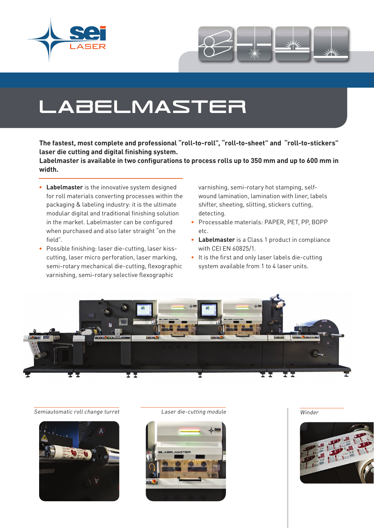



## LABELMASTER

**The fastest, most complete and professional "roll-to-roll", "roll-to-sheet" and "roll-to-stickers" laser die cutting and digital finishing system.** 

**Labelmaster is available in two configurations to process rolls up to 350 mm and up to 600 mm in width.**

- • **Labelmaster** is the innovative system designed for roll materials converting processes within the packaging & labeling industry: it is the ultimate modular digital and traditional finishing solution in the market. Labelmaster can be configured when purchased and also later straight "on the field".
- • Possible finishing: laser die-cutting, laser kisscutting, laser micro perforation, laser marking, semi-rotary mechanical die-cutting, flexographic varnishing, semi-rotary selective flexographic

varnishing, semi-rotary hot stamping, selfwound lamination, lamination with liner, labels shifter, sheeting, slitting, stickers cutting, detecting.

- • Processable materials: PAPER, PET, PP, BOPP etc.
- • **Labelmaster** is a Class 1 product in compliance with CEI EN 60825/1.
- It is the first and only laser labels die-cutting system available from 1 to 4 laser units.



Semiautomatic roll change turret Laser die-cutting module and the University of the Winder



Laser die-cutting module